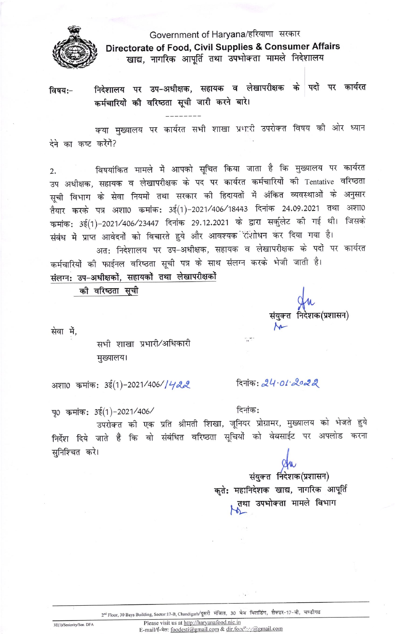

## Government of Haryana/हरियाणा सरकार Directorate of Food, Civil Supplies & Consumer Affairs खाद्य, नागरिक आपूर्ति तथा उपभोक्ता मामले निदेशालय

निदेशालय पर उप-अधीक्षक, सहायक व लेखापरीक्षक के पदों पर कार्यरत विषय:-कर्मचारियों की वरिष्ठता सूची जारी करने बारे।

क्या मुख्यालय पर कार्यरत सभी शाखा प्रभारी उपरोक्त विषय को ओर ध्यान देने का कष्ट करेंगें?

विषयांकित मामले में आपको सूचित किया जाता है कि मुख्यालय पर कार्यरत  $2.$ उप अधीक्षक, सहायक व लेखापरीक्षक के पद पर कार्यरत कर्मचारियों की Tentative वरिष्ठता सूची विभाग के सेवा नियमों तथा सरकार की हिदायतों में अंकित व्यवस्थाओं के अनुसार तैयार करके पत्र अशा0 कमांक: 3ई(1)-2021/406/18443 दिनांक 24.09.2021 तथा अशा0 कमांक: 3ई(1)-2021/406/23447 दिनांक 29.12.2021 के द्वारा सर्कुलेट की गई थी। जिसके संबंध में प्राप्त आवेदनों को विचारते हुये और आवश्यक रिशोधन कर दिया गया है। अत: निदेशालय पर उप-अधीक्षक, सहायक व लेखापरीक्षक के पदों पर कार्यरत

कर्मचारियों की फाईनल वरिष्ठता सूची पत्र के साथ संलग्न करके भेजी जाती है।

 $\sim$ 

दिनांक:

संलग्न: उप-अधीक्षकों, सहायकों तथा लेखापरीक्षकों

की वरिष्ठता सूची

सेवा में.

सभी शाखा प्रभारी/अधिकारी मुख्यालय।

अशा0 कमांक: 3ई(1)-2021/406//422

पृ0 कमांक: 3ई(1)-2021/406/

उपरोक्त की एक प्रति श्रीमती शिखा, जूनियर प्रोग्रामर, मुख्यालय को भेजते हुये निर्देश दिये जाते हैं कि वो संबंधित वरिष्ठता सूचियों को वेबसाईट पर अपलोड करना सुनिश्चित करे।

> संयुक्त निदेशक(प्रशासन) कृते: महानिदेशक खाद्य, नागरिक आपूर्ति तथा उपभोक्ता मामले विभाग

दिनांक: 24.01.2022

2<sup>nd</sup> Floor, 30 Bays Building, Sector:17-B, Chandigarh/दूसरी मंजिल, 30 बेज बिलडिंग, सैक्टर-17-बी, चण्डीगढ

3E(1)/Seniority/Sen. DFA